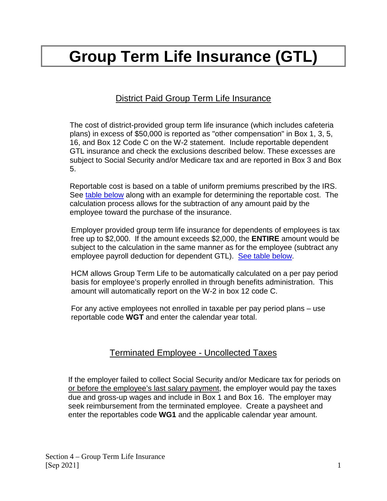# **Group Term Life Insurance (GTL)**

# District Paid Group Term Life Insurance

The cost of district-provided group term life insurance (which includes cafeteria plans) in excess of \$50,000 is reported as "other compensation" in Box 1, 3, 5, 16, and Box 12 Code C on the W-2 statement. Include reportable dependent GTL insurance and check the exclusions described below. These excesses are subject to Social Security and/or Medicare tax and are reported in Box 3 and Box 5.

Reportable cost is based on a table of uniform premiums prescribed by the IRS. See [table below](#page-2-0) along with an example for determining the reportable cost. The calculation process allows for the subtraction of any amount paid by the employee toward the purchase of the insurance.

Employer provided group term life insurance for dependents of employees is tax free up to \$2,000. If the amount exceeds \$2,000, the **ENTIRE** amount would be subject to the calculation in the same manner as for the employee (subtract any employee payroll deduction for dependent GTL). [See table below.](#page-2-0)

HCM allows Group Term Life to be automatically calculated on a per pay period basis for employee's properly enrolled in through benefits administration. This amount will automatically report on the W-2 in box 12 code C.

For any active employees not enrolled in taxable per pay period plans – use reportable code **WGT** and enter the calendar year total.

### Terminated Employee - Uncollected Taxes

If the employer failed to collect Social Security and/or Medicare tax for periods on or before the employee's last salary payment, the employer would pay the taxes due and gross-up wages and include in Box 1 and Box 16. The employer may seek reimbursement from the terminated employee. Create a paysheet and enter the reportables code **WG1** and the applicable calendar year amount.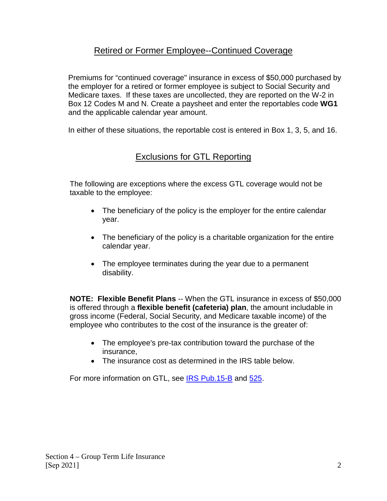## Retired or Former Employee--Continued Coverage

Premiums for "continued coverage" insurance in excess of \$50,000 purchased by the employer for a retired or former employee is subject to Social Security and Medicare taxes. If these taxes are uncollected, they are reported on the W-2 in Box 12 Codes M and N. Create a paysheet and enter the reportables code **WG1** and the applicable calendar year amount.

In either of these situations, the reportable cost is entered in Box 1, 3, 5, and 16.

# Exclusions for GTL Reporting

The following are exceptions where the excess GTL coverage would not be taxable to the employee:

- The beneficiary of the policy is the employer for the entire calendar year.
- The beneficiary of the policy is a charitable organization for the entire calendar year.
- The employee terminates during the year due to a permanent disability.

**NOTE: Flexible Benefit Plans** -- When the GTL insurance in excess of \$50,000 is offered through a **flexible benefit (cafeteria) plan**, the amount includable in gross income (Federal, Social Security, and Medicare taxable income) of the employee who contributes to the cost of the insurance is the greater of:

- The employee's pre-tax contribution toward the purchase of the insurance,
- The insurance cost as determined in the IRS table below.

For more information on GTL, see [IRS Pub.15-B](https://www.irs.gov/pub/irs-pdf/p15b.pdf) and [525.](https://www.irs.gov/pub/irs-pdf/p525.pdf)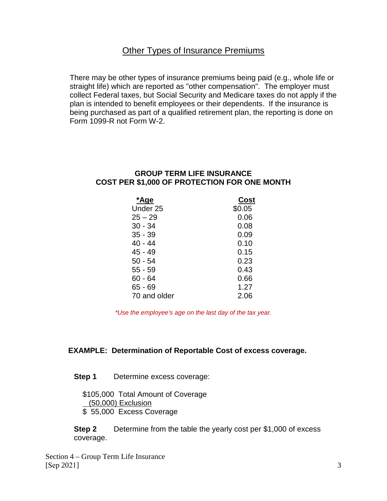#### Other Types of Insurance Premiums

There may be other types of insurance premiums being paid (e.g., whole life or straight life) which are reported as "other compensation". The employer must collect Federal taxes, but Social Security and Medicare taxes do not apply if the plan is intended to benefit employees or their dependents. If the insurance is being purchased as part of a qualified retirement plan, the reporting is done on Form 1099-R not Form W-2.

#### <span id="page-2-0"></span>**GROUP TERM LIFE INSURANCE COST PER \$1,000 OF PROTECTION FOR ONE MONTH**

| *Age                | Cost   |
|---------------------|--------|
| Under <sub>25</sub> | \$0.05 |
| $25 - 29$           | 0.06   |
| $30 - 34$           | 0.08   |
| $35 - 39$           | 0.09   |
| 40 - 44             | 0.10   |
| 45 - 49             | 0.15   |
| 50 - 54             | 0.23   |
| 55 - 59             | 0.43   |
| 60 - 64             | 0.66   |
| 65 - 69             | 1.27   |
| 70 and older        | 2.06   |

*\*Use the employee's age on the last day of the tax year.*

#### **EXAMPLE: Determination of Reportable Cost of excess coverage.**

#### **Step 1** Determine excess coverage:

\$105,000 Total Amount of Coverage (50,000) Exclusion \$ 55,000 Excess Coverage

**Step 2** Determine from the table the yearly cost per \$1,000 of excess coverage.

Section 4 – Group Term Life Insurance [Sep 2021] 3